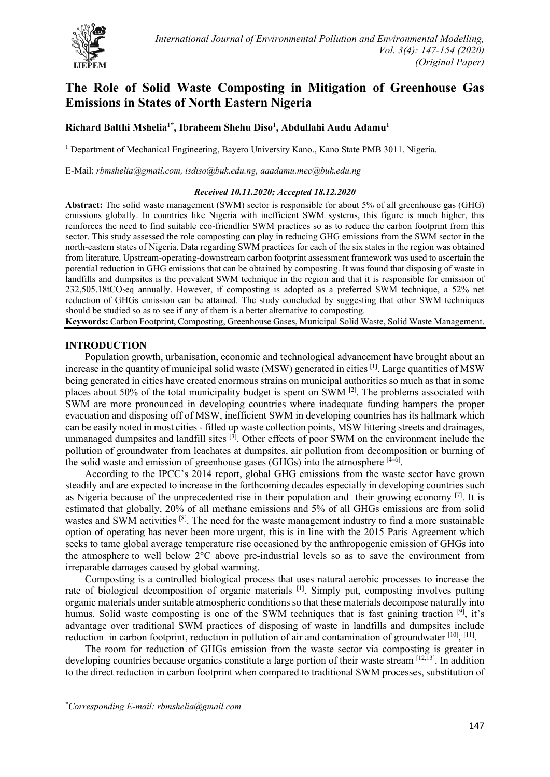

# **The Role of Solid Waste Composting in Mitigation of Greenhouse Gas Emissions in States of North Eastern Nigeria**

# **Richard Balthi Mshelia1[\\*](#page-0-0) , Ibraheem Shehu Diso1 , Abdullahi Audu Adamu1**

<sup>1</sup> Department of Mechanical Engineering, Bayero University Kano., Kano State PMB 3011. Nigeria.

E-Mail: *[rbmshelia@gmail.com,](mailto:rbmshelia@gmail.com) [isdiso@buk.edu.ng,](mailto:isdiso@buk.edu.ng) [aaadamu.mec@buk.edu.ng](mailto:aaadamu.mec@buk.edu.ng)*

#### *Received 10.11.2020; Accepted 18.12.2020*

**Abstract:** The solid waste management (SWM) sector is responsible for about 5% of all greenhouse gas (GHG) emissions globally. In countries like Nigeria with inefficient SWM systems, this figure is much higher, this reinforces the need to find suitable eco-friendlier SWM practices so as to reduce the carbon footprint from this sector. This study assessed the role composting can play in reducing GHG emissions from the SWM sector in the north-eastern states of Nigeria. Data regarding SWM practices for each of the six states in the region was obtained from literature, Upstream-operating-downstream carbon footprint assessment framework was used to ascertain the potential reduction in GHG emissions that can be obtained by composting. It was found that disposing of waste in landfills and dumpsites is the prevalent SWM technique in the region and that it is responsible for emission of 232,505.18tCO2eq annually. However, if composting is adopted as a preferred SWM technique, a 52% net reduction of GHGs emission can be attained. The study concluded by suggesting that other SWM techniques should be studied so as to see if any of them is a better alternative to composting.

**Keywords:** Carbon Footprint, Composting, Greenhouse Gases, Municipal Solid Waste, Solid Waste Management.

## **INTRODUCTION**

Population growth, urbanisation, economic and technological advancement have brought about an increase in the quantity of municipal solid waste (MSW) generated in cities [1]. Large quantities of MSW being generated in cities have created enormous strains on municipal authorities so much as that in some places about 50% of the total municipality budget is spent on SWM [2]. The problems associated with SWM are more pronounced in developing countries where inadequate funding hampers the proper evacuation and disposing off of MSW, inefficient SWM in developing countries has its hallmark which can be easily noted in most cities - filled up waste collection points, MSW littering streets and drainages, unmanaged dumpsites and landfill sites <sup>[3]</sup>. Other effects of poor SWM on the environment include the pollution of groundwater from leachates at dumpsites, air pollution from decomposition or burning of the solid waste and emission of greenhouse gases (GHGs) into the atmosphere  $[4-6]$ .

According to the IPCC's 2014 report, global GHG emissions from the waste sector have grown steadily and are expected to increase in the forthcoming decades especially in developing countries such as Nigeria because of the unprecedented rise in their population and their growing economy  $[7]$ . It is estimated that globally, 20% of all methane emissions and 5% of all GHGs emissions are from solid wastes and SWM activities <sup>[8]</sup>. The need for the waste management industry to find a more sustainable option of operating has never been more urgent, this is in line with the 2015 Paris Agreement which seeks to tame global average temperature rise occasioned by the anthropogenic emission of GHGs into the atmosphere to well below 2°C above pre-industrial levels so as to save the environment from irreparable damages caused by global warming.

Composting is a controlled biological process that uses natural aerobic processes to increase the rate of biological decomposition of organic materials <sup>[1]</sup>. Simply put, composting involves putting organic materials under suitable atmospheric conditions so that these materials decompose naturally into humus. Solid waste composting is one of the SWM techniques that is fast gaining traction  $[9]$ , it's advantage over traditional SWM practices of disposing of waste in landfills and dumpsites include reduction in carbon footprint, reduction in pollution of air and contamination of groundwater  $^{[10]}$ ,  $^{[11]}$ .

The room for reduction of GHGs emission from the waste sector via composting is greater in developing countries because organics constitute a large portion of their waste stream [12,13]. In addition to the direct reduction in carbon footprint when compared to traditional SWM processes, substitution of

<span id="page-0-0"></span><sup>\*</sup> *Corresponding E-mail: rbmshelia@gmail.com*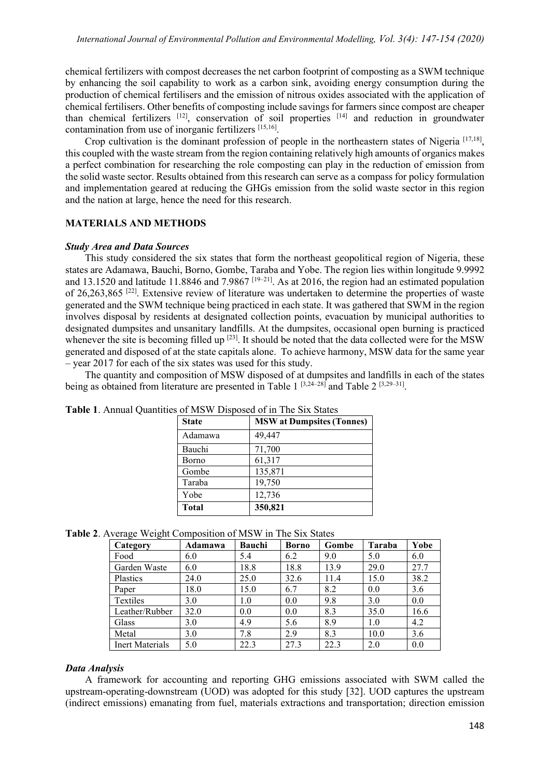chemical fertilizers with compost decreases the net carbon footprint of composting as a SWM technique by enhancing the soil capability to work as a carbon sink, avoiding energy consumption during the production of chemical fertilisers and the emission of nitrous oxides associated with the application of chemical fertilisers. Other benefits of composting include savings for farmers since compost are cheaper than chemical fertilizers  $[12]$ , conservation of soil properties  $[14]$  and reduction in groundwater contamination from use of inorganic fertilizers [15,16].

Crop cultivation is the dominant profession of people in the northeastern states of Nigeria [17,18], this coupled with the waste stream from the region containing relatively high amounts of organics makes a perfect combination for researching the role composting can play in the reduction of emission from the solid waste sector. Results obtained from this research can serve as a compass for policy formulation and implementation geared at reducing the GHGs emission from the solid waste sector in this region and the nation at large, hence the need for this research.

## **MATERIALS AND METHODS**

#### *Study Area and Data Sources*

This study considered the six states that form the northeast geopolitical region of Nigeria, these states are Adamawa, Bauchi, Borno, Gombe, Taraba and Yobe. The region lies within longitude 9.9992 and 13.1520 and latitude 11.8846 and 7.9867<sup>[19–21]</sup>. As at 2016, the region had an estimated population of 26,263,865 [22]. Extensive review of literature was undertaken to determine the properties of waste generated and the SWM technique being practiced in each state. It was gathered that SWM in the region involves disposal by residents at designated collection points, evacuation by municipal authorities to designated dumpsites and unsanitary landfills. At the dumpsites, occasional open burning is practiced whenever the site is becoming filled up  $[23]$ . It should be noted that the data collected were for the MSW generated and disposed of at the state capitals alone. To achieve harmony, MSW data for the same year – year 2017 for each of the six states was used for this study.

The quantity and composition of MSW disposed of at dumpsites and landfills in each of the states being as obtained from literature are presented in Table 1<sup>[3,24–28]</sup> and Table 2<sup>[3,29–31]</sup>.

| <b>State</b> | <b>MSW</b> at Dumpsites (Tonnes) |
|--------------|----------------------------------|
| Adamawa      | 49,447                           |
| Bauchi       | 71,700                           |
| Borno        | 61,317                           |
| Gombe        | 135,871                          |
| Taraba       | 19,750                           |
| Yobe         | 12,736                           |
| <b>Total</b> | 350,821                          |

**Table 1**. Annual Quantities of MSW Disposed of in The Six States

**Table 2**. Average Weight Composition of MSW in The Six States

| ▱<br>$\circ$<br>Category | Adamawa | Bauchi | <b>Borno</b> | Gombe | <b>Taraba</b> | Yobe |
|--------------------------|---------|--------|--------------|-------|---------------|------|
| Food                     | 6.0     | 5.4    | 6.2          | 9.0   | 5.0           | 6.0  |
| Garden Waste             | 6.0     | 18.8   | 18.8         | 13.9  | 29.0          | 27.7 |
| Plastics                 | 24.0    | 25.0   | 32.6         | 11.4  | 15.0          | 38.2 |
| Paper                    | 18.0    | 15.0   | 6.7          | 8.2   | 0.0           | 3.6  |
| Textiles                 | 3.0     | 1.0    | 0.0          | 9.8   | 3.0           | 0.0  |
| Leather/Rubber           | 32.0    | 0.0    | 0.0          | 8.3   | 35.0          | 16.6 |
| Glass                    | 3.0     | 4.9    | 5.6          | 8.9   | 1.0           | 4.2  |
| Metal                    | 3.0     | 7.8    | 2.9          | 8.3   | 10.0          | 3.6  |
| <b>Inert Materials</b>   | 5.0     | 22.3   | 27.3         | 22.3  | 2.0           | 0.0  |

## *Data Analysis*

A framework for accounting and reporting GHG emissions associated with SWM called the upstream-operating-downstream (UOD) was adopted for this study [32]. UOD captures the upstream (indirect emissions) emanating from fuel, materials extractions and transportation; direction emission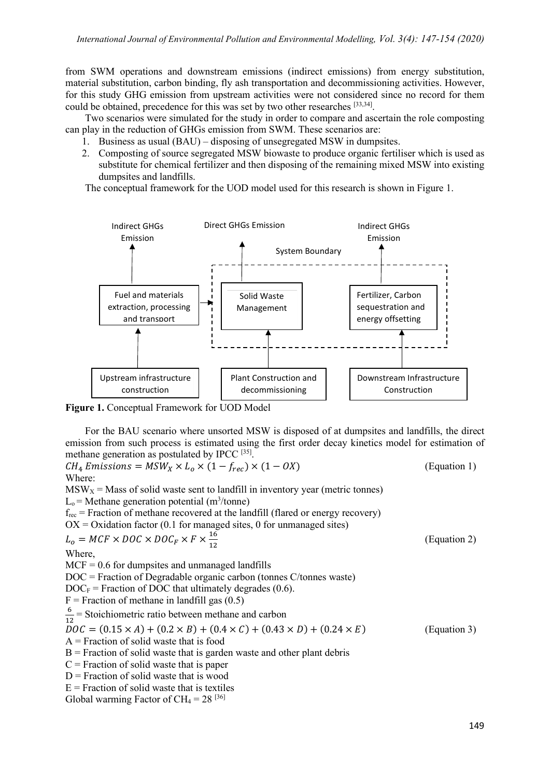from SWM operations and downstream emissions (indirect emissions) from energy substitution, material substitution, carbon binding, fly ash transportation and decommissioning activities. However, for this study GHG emission from upstream activities were not considered since no record for them could be obtained, precedence for this was set by two other researches [33,34].

Two scenarios were simulated for the study in order to compare and ascertain the role composting can play in the reduction of GHGs emission from SWM. These scenarios are:

- 1. Business as usual (BAU) disposing of unsegregated MSW in dumpsites.
- 2. Composting of source segregated MSW biowaste to produce organic fertiliser which is used as substitute for chemical fertilizer and then disposing of the remaining mixed MSW into existing dumpsites and landfills.

The conceptual framework for the UOD model used for this research is shown in Figure 1.



**Figure 1.** Conceptual Framework for UOD Model

For the BAU scenario where unsorted MSW is disposed of at dumpsites and landfills, the direct emission from such process is estimated using the first order decay kinetics model for estimation of methane generation as postulated by IPCC [35].

 $CH_4$  Emissions =  $MSW_X \times L_0 \times (1 - f_{rec}) \times (1 - OX)$  (Equation 1) Where:

 $MSW<sub>X</sub>$  = Mass of solid waste sent to landfill in inventory year (metric tonnes)  $L_0$  = Methane generation potential (m<sup>3</sup>/tonne)  $f_{\text{rec}}$  = Fraction of methane recovered at the landfill (flared or energy recovery)  $OX = Ox$  dation factor (0.1 for managed sites, 0 for unmanaged sites)  $L_o = MCF \times DOC \times DOC_F \times F \times \frac{16}{12}$ (Equation 2) Where,  $MCF = 0.6$  for dumpsites and unmanaged landfills DOC = Fraction of Degradable organic carbon (tonnes C/tonnes waste)  $DOC<sub>F</sub>$  = Fraction of DOC that ultimately degrades (0.6).  $F =$  Fraction of methane in landfill gas  $(0.5)$  $\frac{6}{12}$  = Stoichiometric ratio between methane and carbon 12  $DOC = (0.15 \times A) + (0.2 \times B) + (0.4 \times C) + (0.43 \times D) + (0.24 \times E)$  (Equation 3)  $A =$  Fraction of solid waste that is food  $B =$  Fraction of solid waste that is garden waste and other plant debris  $C =$  Fraction of solid waste that is paper  $D$  = Fraction of solid waste that is wood  $E =$  Fraction of solid waste that is textiles

Global warming Factor of  $CH_4 = 28$  [36]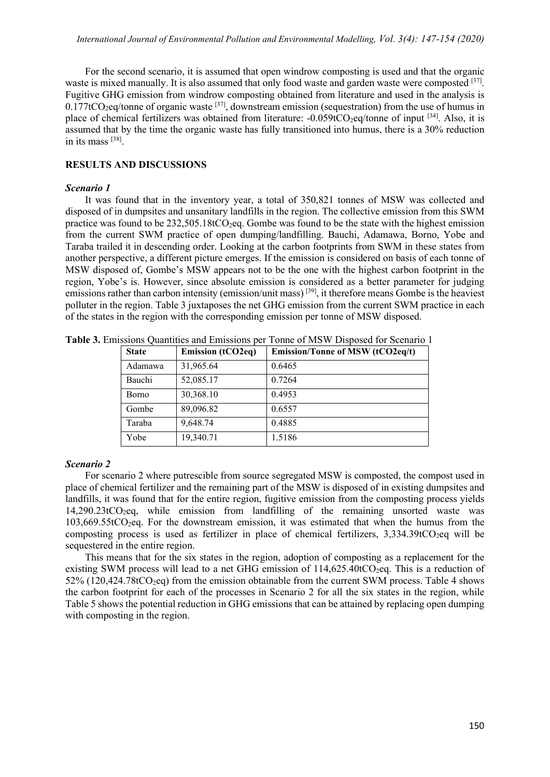For the second scenario, it is assumed that open windrow composting is used and that the organic waste is mixed manually. It is also assumed that only food waste and garden waste were composted [37]. Fugitive GHG emission from windrow composting obtained from literature and used in the analysis is  $0.177$ tCO<sub>2</sub>eq/tonne of organic waste <sup>[37]</sup>, downstream emission (sequestration) from the use of humus in place of chemical fertilizers was obtained from literature:  $-0.059tCO$ <sub>2</sub>eq/tonne of input <sup>[34]</sup>. Also, it is assumed that by the time the organic waste has fully transitioned into humus, there is a 30% reduction in its mass [38].

## **RESULTS AND DISCUSSIONS**

## *Scenario 1*

It was found that in the inventory year, a total of 350,821 tonnes of MSW was collected and disposed of in dumpsites and unsanitary landfills in the region. The collective emission from this SWM practice was found to be  $232{,}505.18$ tCO<sub>2</sub>eq. Gombe was found to be the state with the highest emission from the current SWM practice of open dumping/landfilling. Bauchi, Adamawa, Borno, Yobe and Taraba trailed it in descending order. Looking at the carbon footprints from SWM in these states from another perspective, a different picture emerges. If the emission is considered on basis of each tonne of MSW disposed of, Gombe's MSW appears not to be the one with the highest carbon footprint in the region, Yobe's is. However, since absolute emission is considered as a better parameter for judging emissions rather than carbon intensity (emission/unit mass)<sup>[39]</sup>, it therefore means Gombe is the heaviest polluter in the region. Table 3 juxtaposes the net GHG emission from the current SWM practice in each of the states in the region with the corresponding emission per tonne of MSW disposed.

| <b>State</b> | <b>Emission (tCO2eq)</b> | Emission/Tonne of MSW (tCO2eq/t) |
|--------------|--------------------------|----------------------------------|
| Adamawa      | 31,965.64                | 0.6465                           |
| Bauchi       | 52,085.17                | 0.7264                           |
| <b>Borno</b> | 30,368.10                | 0.4953                           |
| Gombe        | 89,096.82                | 0.6557                           |
| Taraba       | 9,648.74                 | 0.4885                           |
| Yobe         | 19,340.71                | 1.5186                           |

**Table 3.** Emissions Quantities and Emissions per Tonne of MSW Disposed for Scenario 1

## *Scenario 2*

For scenario 2 where putrescible from source segregated MSW is composted, the compost used in place of chemical fertilizer and the remaining part of the MSW is disposed of in existing dumpsites and landfills, it was found that for the entire region, fugitive emission from the composting process yields  $14,290.23$ t $CO<sub>2</sub>$ eq, while emission from landfilling of the remaining unsorted waste was  $103,669.55$ t $CO<sub>2</sub>$ eq. For the downstream emission, it was estimated that when the humus from the composting process is used as fertilizer in place of chemical fertilizers,  $3,334.39$ tCO<sub>2</sub>eq will be sequestered in the entire region.

This means that for the six states in the region, adoption of composting as a replacement for the existing SWM process will lead to a net GHG emission of  $114,625.40$ tCO<sub>2</sub>eq. This is a reduction of  $52\%$  (120,424.78tCO<sub>2</sub>eq) from the emission obtainable from the current SWM process. Table 4 shows the carbon footprint for each of the processes in Scenario 2 for all the six states in the region, while Table 5 shows the potential reduction in GHG emissions that can be attained by replacing open dumping with composting in the region.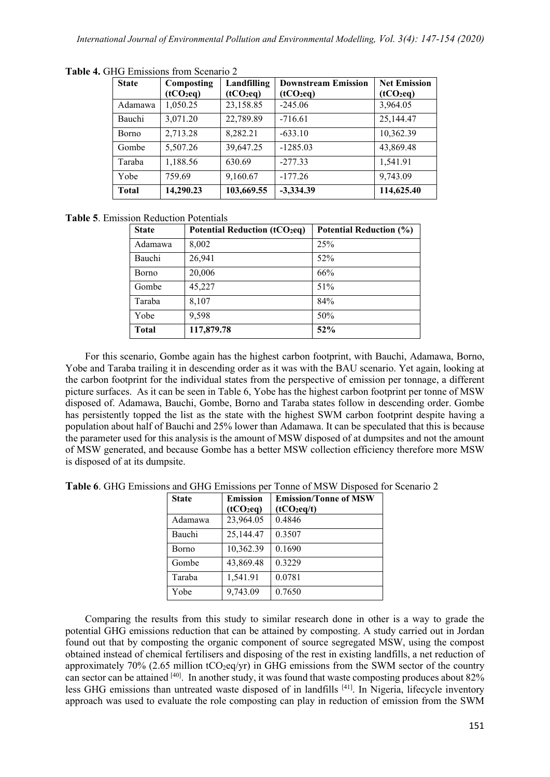| <b>State</b> | Composting  | Landfilling | <b>Downstream Emission</b> | <b>Net Emission</b> |
|--------------|-------------|-------------|----------------------------|---------------------|
|              | $(tCO_2eq)$ | $(tCO_2eq)$ | $(tCO_2eq)$                | $(tCO_2eq)$         |
| Adamawa      | 1,050.25    | 23,158.85   | $-245.06$                  | 3,964.05            |
| Bauchi       | 3,071.20    | 22,789.89   | $-716.61$                  | 25,144.47           |
| <b>Borno</b> | 2,713.28    | 8,282.21    | $-633.10$                  | 10,362.39           |
| Gombe        | 5,507.26    | 39,647.25   | $-1285.03$                 | 43,869.48           |
| Taraba       | 1,188.56    | 630.69      | $-277.33$                  | 1,541.91            |
| Yobe         | 759.69      | 9,160.67    | $-177.26$                  | 9,743.09            |
| <b>Total</b> | 14,290.23   | 103,669.55  | $-3,334.39$                | 114,625.40          |

**Table 4.** GHG Emissions from Scenario 2

## **Table 5**. Emission Reduction Potentials

| <b>State</b> | Potential Reduction (tCO <sub>2</sub> eq) | <b>Potential Reduction (%)</b> |
|--------------|-------------------------------------------|--------------------------------|
| Adamawa      | 8,002                                     | 25%                            |
| Bauchi       | 26,941                                    | 52%                            |
| <b>Borno</b> | 20,006                                    | 66%                            |
| Gombe        | 45,227                                    | 51%                            |
| Taraba       | 8,107                                     | 84%                            |
| Yobe         | 9,598                                     | 50%                            |
| <b>Total</b> | 117,879.78                                | 52%                            |

For this scenario, Gombe again has the highest carbon footprint, with Bauchi, Adamawa, Borno, Yobe and Taraba trailing it in descending order as it was with the BAU scenario. Yet again, looking at the carbon footprint for the individual states from the perspective of emission per tonnage, a different picture surfaces. As it can be seen in Table 6, Yobe has the highest carbon footprint per tonne of MSW disposed of. Adamawa, Bauchi, Gombe, Borno and Taraba states follow in descending order. Gombe has persistently topped the list as the state with the highest SWM carbon footprint despite having a population about half of Bauchi and 25% lower than Adamawa. It can be speculated that this is because the parameter used for this analysis is the amount of MSW disposed of at dumpsites and not the amount of MSW generated, and because Gombe has a better MSW collection efficiency therefore more MSW is disposed of at its dumpsite.

| <b>State</b> | <b>Emission</b><br>(tCO <sub>2</sub> eq) | <b>Emission/Tonne of MSW</b><br>$(tCO_2eq/t)$ |
|--------------|------------------------------------------|-----------------------------------------------|
| Adamawa      | 23,964.05                                | 0.4846                                        |
| Bauchi       | 25,144.47                                | 0.3507                                        |
| Borno        | 10,362.39                                | 0.1690                                        |
| Gombe        | 43,869.48                                | 0.3229                                        |
| Taraba       | 1,541.91                                 | 0.0781                                        |
| Yobe         | 9,743.09                                 | 0.7650                                        |

**Table 6**. GHG Emissions and GHG Emissions per Tonne of MSW Disposed for Scenario 2

Comparing the results from this study to similar research done in other is a way to grade the potential GHG emissions reduction that can be attained by composting. A study carried out in Jordan found out that by composting the organic component of source segregated MSW, using the compost obtained instead of chemical fertilisers and disposing of the rest in existing landfills, a net reduction of approximately 70% (2.65 million tCO<sub>2</sub>eq/yr) in GHG emissions from the SWM sector of the country can sector can be attained [40]. In another study, it was found that waste composting produces about 82% less GHG emissions than untreated waste disposed of in landfills [41]. In Nigeria, lifecycle inventory approach was used to evaluate the role composting can play in reduction of emission from the SWM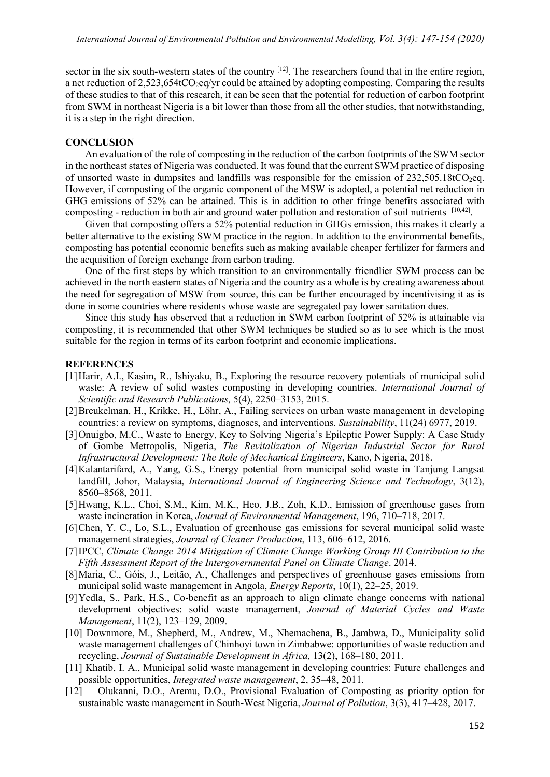sector in the six south-western states of the country <sup>[12]</sup>. The researchers found that in the entire region, a net reduction of  $2,523,654tCO$  eq/yr could be attained by adopting composting. Comparing the results of these studies to that of this research, it can be seen that the potential for reduction of carbon footprint from SWM in northeast Nigeria is a bit lower than those from all the other studies, that notwithstanding, it is a step in the right direction.

## **CONCLUSION**

An evaluation of the role of composting in the reduction of the carbon footprints of the SWM sector in the northeast states of Nigeria was conducted. It was found that the current SWM practice of disposing of unsorted waste in dumpsites and landfills was responsible for the emission of  $232,505.18$ t $CO_2$ eq. However, if composting of the organic component of the MSW is adopted, a potential net reduction in GHG emissions of 52% can be attained. This is in addition to other fringe benefits associated with composting - reduction in both air and ground water pollution and restoration of soil nutrients [10,42].

Given that composting offers a 52% potential reduction in GHGs emission, this makes it clearly a better alternative to the existing SWM practice in the region. In addition to the environmental benefits, composting has potential economic benefits such as making available cheaper fertilizer for farmers and the acquisition of foreign exchange from carbon trading.

One of the first steps by which transition to an environmentally friendlier SWM process can be achieved in the north eastern states of Nigeria and the country as a whole is by creating awareness about the need for segregation of MSW from source, this can be further encouraged by incentivising it as is done in some countries where residents whose waste are segregated pay lower sanitation dues.

Since this study has observed that a reduction in SWM carbon footprint of 52% is attainable via composting, it is recommended that other SWM techniques be studied so as to see which is the most suitable for the region in terms of its carbon footprint and economic implications.

### **REFERENCES**

- [1]Harir, A.I., Kasim, R., Ishiyaku, B., Exploring the resource recovery potentials of municipal solid waste: A review of solid wastes composting in developing countries. *International Journal of Scientific and Research Publications,* 5(4), 2250–3153, 2015.
- [2]Breukelman, H., Krikke, H., Löhr, A., Failing services on urban waste management in developing countries: a review on symptoms, diagnoses, and interventions. *Sustainability*, 11(24) 6977, 2019.
- [3]Onuigbo, M.C., Waste to Energy, Key to Solving Nigeria's Epileptic Power Supply: A Case Study of Gombe Metropolis, Nigeria, *The Revitalization of Nigerian Industrial Sector for Rural Infrastructural Development: The Role of Mechanical Engineers*, Kano, Nigeria, 2018.
- [4]Kalantarifard, A., Yang, G.S., Energy potential from municipal solid waste in Tanjung Langsat landfill, Johor, Malaysia, *International Journal of Engineering Science and Technology*, 3(12), 8560–8568, 2011.
- [5]Hwang, K.L., Choi, S.M., Kim, M.K., Heo, J.B., Zoh, K.D., Emission of greenhouse gases from waste incineration in Korea, *Journal of Environmental Management*, 196, 710–718, 2017.
- [6]Chen, Y. C., Lo, S.L., Evaluation of greenhouse gas emissions for several municipal solid waste management strategies, *Journal of Cleaner Production*, 113, 606–612, 2016.
- [7]IPCC, *Climate Change 2014 Mitigation of Climate Change Working Group III Contribution to the Fifth Assessment Report of the Intergovernmental Panel on Climate Change*. 2014.
- [8]Maria, C., Góis, J., Leitão, A., Challenges and perspectives of greenhouse gases emissions from municipal solid waste management in Angola, *Energy Reports*, 10(1), 22–25, 2019.
- [9]Yedla, S., Park, H.S., Co-benefit as an approach to align climate change concerns with national development objectives: solid waste management, *Journal of Material Cycles and Waste Management*, 11(2), 123–129, 2009.
- [10] Downmore, M., Shepherd, M., Andrew, M., Nhemachena, B., Jambwa, D., Municipality solid waste management challenges of Chinhoyi town in Zimbabwe: opportunities of waste reduction and recycling, *Journal of Sustainable Development in Africa,* 13(2), 168–180, 2011.
- [11] Khatib, I. A., Municipal solid waste management in developing countries: Future challenges and possible opportunities, *Integrated waste management*, 2, 35–48, 2011.
- [12] Olukanni, D.O., Aremu, D.O., Provisional Evaluation of Composting as priority option for sustainable waste management in South-West Nigeria, *Journal of Pollution*, 3(3), 417–428, 2017.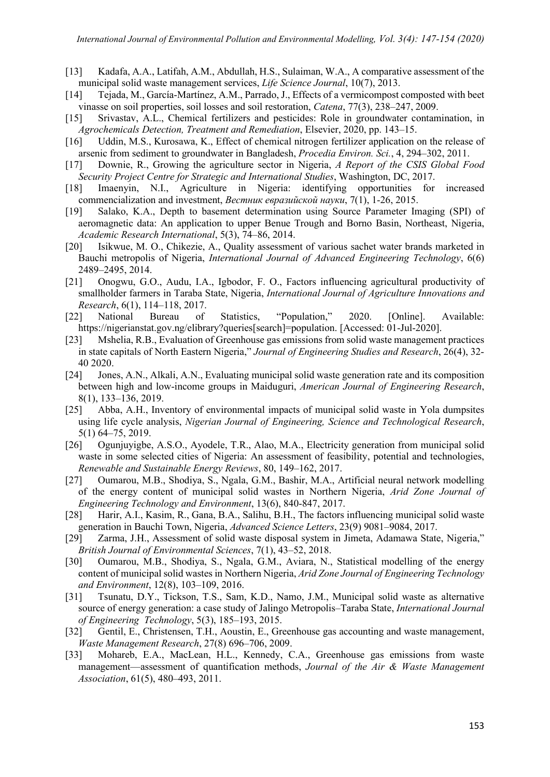- [13] Kadafa, A.A., Latifah, A.M., Abdullah, H.S., Sulaiman, W.A., A comparative assessment of the municipal solid waste management services, *Life Science Journal*, 10(7), 2013.
- [14] Tejada, M., García-Martínez, A.M., Parrado, J., Effects of a vermicompost composted with beet vinasse on soil properties, soil losses and soil restoration, *Catena*, 77(3), 238–247, 2009.
- [15] Srivastav, A.L., Chemical fertilizers and pesticides: Role in groundwater contamination, in *Agrochemicals Detection, Treatment and Remediation*, Elsevier, 2020, pp. 143–15.
- [16] Uddin, M.S., Kurosawa, K., Effect of chemical nitrogen fertilizer application on the release of arsenic from sediment to groundwater in Bangladesh, *Procedia Environ. Sci.*, 4, 294–302, 2011.
- [17] Downie, R., Growing the agriculture sector in Nigeria, *A Report of the CSIS Global Food Security Project Centre for Strategic and International Studies*, Washington, DC, 2017.
- [18] Imaenyin, N.I., Agriculture in Nigeria: identifying opportunities for increased commencialization and investment, *Вестник евразийской науки*, 7(1), 1-26, 2015.
- [19] Salako, K.A., Depth to basement determination using Source Parameter Imaging (SPI) of aeromagnetic data: An application to upper Benue Trough and Borno Basin, Northeast, Nigeria, *Academic Research International*, 5(3), 74–86, 2014.
- [20] Isikwue, M. O., Chikezie, A., Quality assessment of various sachet water brands marketed in Bauchi metropolis of Nigeria, *International Journal of Advanced Engineering Technology*, 6(6) 2489–2495, 2014.
- [21] Onogwu, G.O., Audu, I.A., Igbodor, F. O., Factors influencing agricultural productivity of smallholder farmers in Taraba State, Nigeria, *International Journal of Agriculture Innovations and Research*, 6(1), 114–118, 2017.
- [22] National Bureau of Statistics, "Population," 2020. [Online]. Available: https://nigerianstat.gov.ng/elibrary?queries[search]=population. [Accessed: 01-Jul-2020].
- [23] Mshelia, R.B., Evaluation of Greenhouse gas emissions from solid waste management practices in state capitals of North Eastern Nigeria," *Journal of Engineering Studies and Research*, 26(4), 32- 40 2020.
- [24] Jones, A.N., Alkali, A.N., Evaluating municipal solid waste generation rate and its composition between high and low-income groups in Maiduguri, *American Journal of Engineering Research*, 8(1), 133–136, 2019.
- [25] Abba, A.H., Inventory of environmental impacts of municipal solid waste in Yola dumpsites using life cycle analysis, *Nigerian Journal of Engineering, Science and Technological Research*, 5(1) 64–75, 2019.
- [26] Ogunjuyigbe, A.S.O., Ayodele, T.R., Alao, M.A., Electricity generation from municipal solid waste in some selected cities of Nigeria: An assessment of feasibility, potential and technologies, *Renewable and Sustainable Energy Reviews*, 80, 149–162, 2017.
- [27] Oumarou, M.B., Shodiya, S., Ngala, G.M., Bashir, M.A., Artificial neural network modelling of the energy content of municipal solid wastes in Northern Nigeria, *Arid Zone Journal of Engineering Technology and Environment*, 13(6), 840-847, 2017.
- [28] Harir, A.I., Kasim, R., Gana, B.A., Salihu, B.H., The factors influencing municipal solid waste generation in Bauchi Town, Nigeria, *Advanced Science Letters*, 23(9) 9081–9084, 2017.
- [29] Zarma, J.H., Assessment of solid waste disposal system in Jimeta, Adamawa State, Nigeria," *British Journal of Environmental Sciences*, 7(1), 43–52, 2018.
- [30] Oumarou, M.B., Shodiya, S., Ngala, G.M., Aviara, N., Statistical modelling of the energy content of municipal solid wastes in Northern Nigeria, *Arid Zone Journal of Engineering Technology and Environment*, 12(8), 103–109, 2016.
- [31] Tsunatu, D.Y., Tickson, T.S., Sam, K.D., Namo, J.M., Municipal solid waste as alternative source of energy generation: a case study of Jalingo Metropolis–Taraba State, *International Journal of Engineering Technology*, 5(3), 185–193, 2015.
- [32] Gentil, E., Christensen, T.H., Aoustin, E., Greenhouse gas accounting and waste management, *Waste Management Research*, 27(8) 696–706, 2009.
- [33] Mohareb, E.A., MacLean, H.L., Kennedy, C.A., Greenhouse gas emissions from waste management—assessment of quantification methods, *Journal of the Air & Waste Management Association*, 61(5), 480–493, 2011.